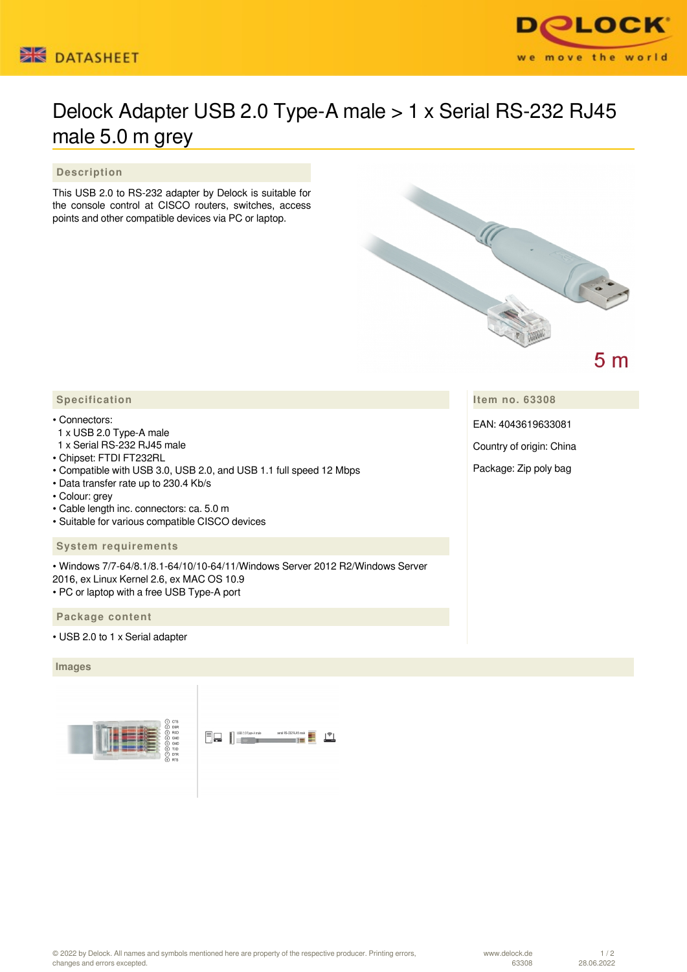



## Delock Adapter USB 2.0 Type-A male > 1 x Serial RS-232 RJ45 male 5.0 m grey

 **Description**

This USB 2.0 to RS-232 adapter by Delock is suitable for the console control at CISCO routers, switches, access points and other compatible devices via PC or laptop.



 $5<sub>m</sub>$ 

**Item no. 63308**

EAN: 4043619633081

Country of origin: China

Package: Zip poly bag

## • Connectors:

- 1 x USB 2.0 Type-A male
- 1 x Serial RS-232 RJ45 male
- Chipset: FTDI FT232RL
- Compatible with USB 3.0, USB 2.0, and USB 1.1 full speed 12 Mbps
- Data transfer rate up to 230.4 Kb/s
- Colour: grey
- Cable length inc. connectors: ca. 5.0 m
- Suitable for various compatible CISCO devices

## **System requirements**

• Windows 7/7-64/8.1/8.1-64/10/10-64/11/Windows Server 2012 R2/Windows Server 2016, ex Linux Kernel 2.6, ex MAC OS 10.9 • PC or laptop with a free USB Type-A port

 **Package content**

• USB 2.0 to 1 x Serial adapter

## **Images**